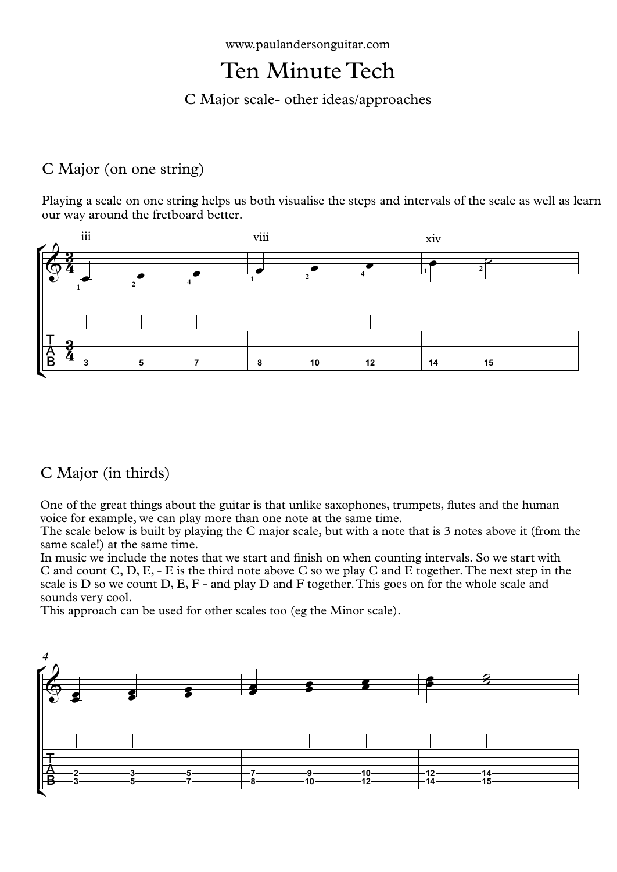www.paulandersonguitar.com

## Ten Minute Tech

C Major scale- other ideas/approaches

## C Major (on one string)

Playing a scale on one string helps us both visualise the steps and intervals of the scale as well as learn our way around the fretboard better.



## C Major (in thirds)

One of the great things about the guitar is that unlike saxophones, trumpets, flutes and the human voice for example, we can play more than one note at the same time.

The scale below is built by playing the C major scale, but with a note that is 3 notes above it (from the same scale!) at the same time.

In music we include the notes that we start and finish on when counting intervals. So we start with C and count C, D, E, - E is the third note above C sowe play C and E together.The next step in the scale is D so we count D, E, F - and play D and F together.This goes on for the whole scale and sounds very cool.

This approach can be used for other scales too (eg the Minor scale).

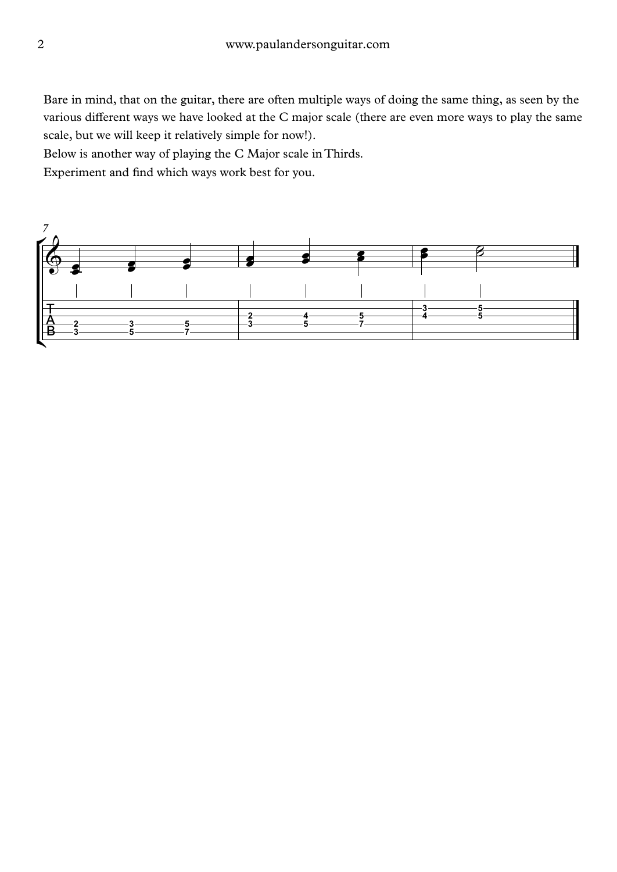Bare in mind, that on the guitar, there are often multiple ways of doing the same thing, as seen by the various different ways we have looked at the C major scale (there are even more ways to play the same scale, but we will keep it relatively simple for now!).

Below is another way of playing the C Major scale in Thirds.

Experiment and find which ways work best for you.